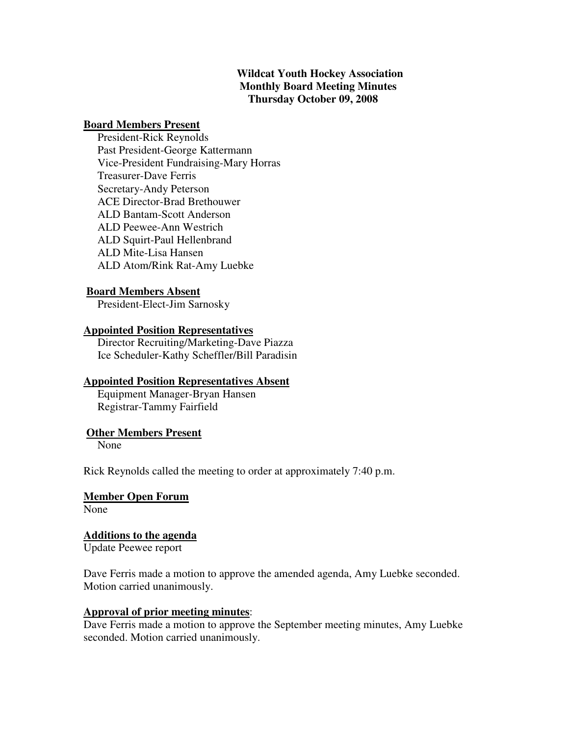#### **Wildcat Youth Hockey Association Monthly Board Meeting Minutes Thursday October 09, 2008**

#### **Board Members Present**

 President-Rick Reynolds Past President-George Kattermann Vice-President Fundraising-Mary Horras Treasurer-Dave Ferris Secretary-Andy Peterson ACE Director-Brad Brethouwer ALD Bantam-Scott Anderson ALD Peewee-Ann Westrich ALD Squirt-Paul Hellenbrand ALD Mite-Lisa Hansen ALD Atom/Rink Rat-Amy Luebke

#### **Board Members Absent**

President-Elect-Jim Sarnosky

#### **Appointed Position Representatives**

 Director Recruiting/Marketing-Dave Piazza Ice Scheduler-Kathy Scheffler/Bill Paradisin

#### **Appointed Position Representatives Absent**

 Equipment Manager-Bryan Hansen Registrar-Tammy Fairfield

#### **Other Members Present**

None

Rick Reynolds called the meeting to order at approximately 7:40 p.m.

#### **Member Open Forum**

None

#### **Additions to the agenda**

Update Peewee report

Dave Ferris made a motion to approve the amended agenda, Amy Luebke seconded. Motion carried unanimously.

#### **Approval of prior meeting minutes**:

Dave Ferris made a motion to approve the September meeting minutes, Amy Luebke seconded. Motion carried unanimously.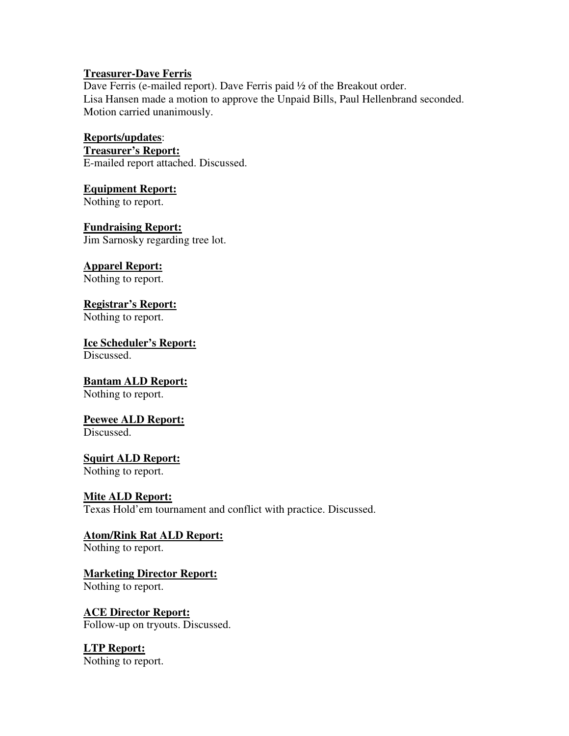#### **Treasurer-Dave Ferris**

Dave Ferris (e-mailed report). Dave Ferris paid ½ of the Breakout order. Lisa Hansen made a motion to approve the Unpaid Bills, Paul Hellenbrand seconded. Motion carried unanimously.

## **Reports/updates**:

**Treasurer's Report:** E-mailed report attached. Discussed.

#### **Equipment Report:**

Nothing to report.

## **Fundraising Report:**

Jim Sarnosky regarding tree lot.

## **Apparel Report:**

Nothing to report.

## **Registrar's Report:**

Nothing to report.

# **Ice Scheduler's Report:**

Discussed.

## **Bantam ALD Report:**

Nothing to report.

## **Peewee ALD Report:**

Discussed.

## **Squirt ALD Report:**

Nothing to report.

## **Mite ALD Report:**

Texas Hold'em tournament and conflict with practice. Discussed.

## **Atom/Rink Rat ALD Report:**

Nothing to report.

## **Marketing Director Report:**

Nothing to report.

## **ACE Director Report:**

Follow-up on tryouts. Discussed.

## **LTP Report:**

Nothing to report.